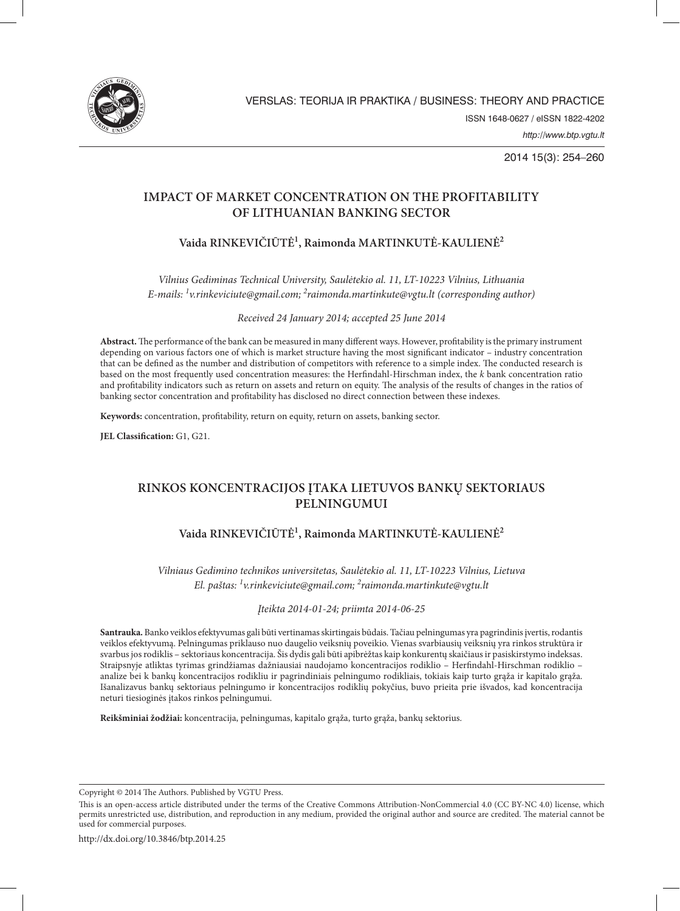

2014 15(3): 254–260

### **IMPACT OF MARKET CONCENTRATION ON THE PROFITABILITY OF LITHUANIAN BANKING SECTOR**

# **Vaida RINKEVIČIŪTĖ1 , Raimonda MARTINKUTĖ-KAULIENĖ2**

*Vilnius Gediminas Technical University, Saulėtekio al. 11, LT-10223 Vilnius, Lithuania E-mails: 1 v.rinkeviciute@gmail.com; <sup>2</sup> raimonda.martinkute@vgtu.lt (corresponding author)*

*Received 24 January 2014; accepted 25 June 2014*

**Abstract.** The performance of the bank can be measured in many different ways. However, profitability is the primary instrument depending on various factors one of which is market structure having the most significant indicator – industry concentration that can be defined as the number and distribution of competitors with reference to a simple index. The conducted research is based on the most frequently used concentration measures: the Herfindahl-Hirschman index, the *k* bank concentration ratio and profitability indicators such as return on assets and return on equity. The analysis of the results of changes in the ratios of banking sector concentration and profitability has disclosed no direct connection between these indexes.

**Keywords:** concentration, profitability, return on equity, return on assets, banking sector.

**JEL Classification:** G1, G21.

# **RINKOS KONCENTRACIJOS ĮTAKA LIETUVOS BANKŲ SEKTORIAUS PELNINGUMUI**

## **Vaida RINKEVIČIŪTĖ1 , Raimonda MARTINKUTĖ-KAULIENĖ2**

*Vilniaus Gedimino technikos universitetas, Saulėtekio al. 11, LT-10223 Vilnius, Lietuva El. paštas: 1 v.rinkeviciute@gmail.com; <sup>2</sup> raimonda.martinkute@vgtu.lt*

### *Įteikta 2014-01-24; priimta 2014-06-25*

**Santrauka.** Banko veiklos efektyvumas gali būti vertinamas skirtingais būdais. Tačiau pelningumas yra pagrindinis įvertis, rodantis veiklos efektyvumą. Pelningumas priklauso nuo daugelio veiksnių poveikio. Vienas svarbiausių veiksnių yra rinkos struktūra ir svarbus jos rodiklis – sektoriaus koncentracija. Šis dydis gali būti apibrėžtas kaip konkurentų skaičiaus ir pasiskirstymo indeksas. Straipsnyje atliktas tyrimas grindžiamas dažniausiai naudojamo koncentracijos rodiklio – Herfindahl-Hirschman rodiklio – analize bei k bankų koncentracijos rodikliu ir pagrindiniais pelningumo rodikliais, tokiais kaip turto grąža ir kapitalo grąža. Išanalizavus bankų sektoriaus pelningumo ir koncentracijos rodiklių pokyčius, buvo prieita prie išvados, kad koncentracija neturi tiesioginės įtakos rinkos pelningumui.

**Reikšminiai žodžiai:** koncentracija, pelningumas, kapitalo grąža, turto grąža, bankų sektorius.

Copyright © 2014 The Authors. Published by VGTU Press.

This is an open-access article distributed under the terms of the Creative Commons Attribution-NonCommercial 4.0 (CC BY-NC 4.0) license, which permits unrestricted use, distribution, and reproduction in any medium, provided the original author and source are credited. The material cannot be used for commercial purposes.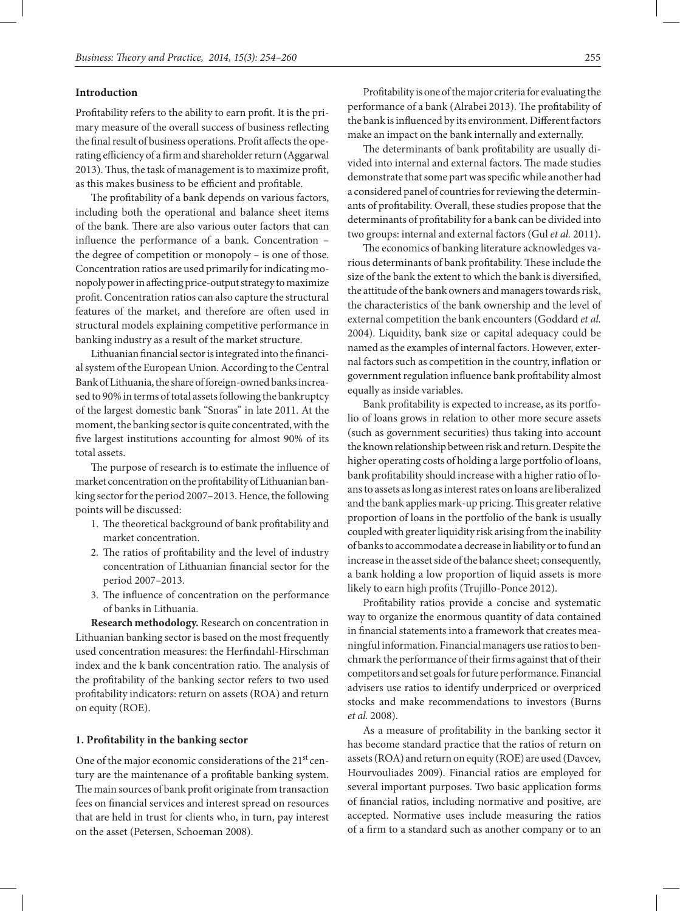#### **Introduction**

Profitability refers to the ability to earn profit. It is the primary measure of the overall success of business reflecting the final result of business operations. Profit affects the operating efficiency of a firm and shareholder return (Aggarwal 2013). Thus, the task of management is to maximize profit, as this makes business to be efficient and profitable.

The profitability of a bank depends on various factors, including both the operational and balance sheet items of the bank. There are also various outer factors that can influence the performance of a bank. Concentration – the degree of competition or monopoly – is one of those. Concentration ratios are used primarily for indicating monopoly power in affecting price-output strategy to maximize profit. Concentration ratios can also capture the structural features of the market, and therefore are often used in structural models explaining competitive performance in banking industry as a result of the market structure.

Lithuanian financial sector is integrated into the financial system of the European Union. According to the Central Bank of Lithuania, the share of foreign-owned banks increased to 90% in terms of total assets following the bankruptcy of the largest domestic bank "Snoras" in late 2011. At the moment, the banking sector is quite concentrated, with the five largest institutions accounting for almost 90% of its total assets.

The purpose of research is to estimate the influence of market concentration on the profitability of Lithuanian banking sector for the period 2007–2013. Hence, the following points will be discussed:

- 1. The theoretical background of bank profitability and market concentration.
- 2. The ratios of profitability and the level of industry concentration of Lithuanian financial sector for the period 2007–2013.
- 3. The influence of concentration on the performance of banks in Lithuania.

**Research methodology.** Research on concentration in Lithuanian banking sector is based on the most frequently used concentration measures: the Herfindahl-Hirschman index and the k bank concentration ratio. The analysis of the profitability of the banking sector refers to two used profitability indicators: return on assets (ROA) and return on equity (ROE).

#### **1. Profitability in the banking sector**

One of the major economic considerations of the 21<sup>st</sup> century are the maintenance of a profitable banking system. The main sources of bank profit originate from transaction fees on financial services and interest spread on resources that are held in trust for clients who, in turn, pay interest on the asset (Petersen, Schoeman 2008).

Profitability is one of the major criteria for evaluating the performance of a bank (Alrabei 2013). The profitability of the bank is influenced by its environment. Different factors make an impact on the bank internally and externally.

The determinants of bank profitability are usually divided into internal and external factors. The made studies demonstrate that some part was specific while another had a considered panel of countries for reviewing the determinants of profitability. Overall, these studies propose that the determinants of profitability for a bank can be divided into two groups: internal and external factors (Gul *et al.* 2011).

The economics of banking literature acknowledges various determinants of bank profitability. These include the size of the bank the extent to which the bank is diversified, the attitude of the bank owners and managers towards risk, the characteristics of the bank ownership and the level of external competition the bank encounters (Goddard *et al.* 2004). Liquidity, bank size or capital adequacy could be named as the examples of internal factors. However, external factors such as competition in the country, inflation or government regulation influence bank profitability almost equally as inside variables.

Bank profitability is expected to increase, as its portfolio of loans grows in relation to other more secure assets (such as government securities) thus taking into account the known relationship between risk and return. Despite the higher operating costs of holding a large portfolio of loans, bank profitability should increase with a higher ratio of loans to assets as long as interest rates on loans are liberalized and the bank applies mark-up pricing. This greater relative proportion of loans in the portfolio of the bank is usually coupled with greater liquidity risk arising from the inability of banks to accommodate a decrease in liability or to fund an increase in the asset side of the balance sheet; consequently, a bank holding a low proportion of liquid assets is more likely to earn high profits (Trujillo-Ponce 2012).

Profitability ratios provide a concise and systematic way to organize the enormous quantity of data contained in financial statements into a framework that creates meaningful information. Financial managers use ratios to benchmark the performance of their firms against that of their competitors and set goals for future performance. Financial advisers use ratios to identify underpriced or overpriced stocks and make recommendations to investors (Burns *et al.* 2008).

As a measure of profitability in the banking sector it has become standard practice that the ratios of return on assets (ROA) and return on equity (ROE) are used (Davcev, Hourvouliades 2009). Financial ratios are employed for several important purposes. Two basic application forms of financial ratios, including normative and positive, are accepted. Normative uses include measuring the ratios of a firm to a standard such as another company or to an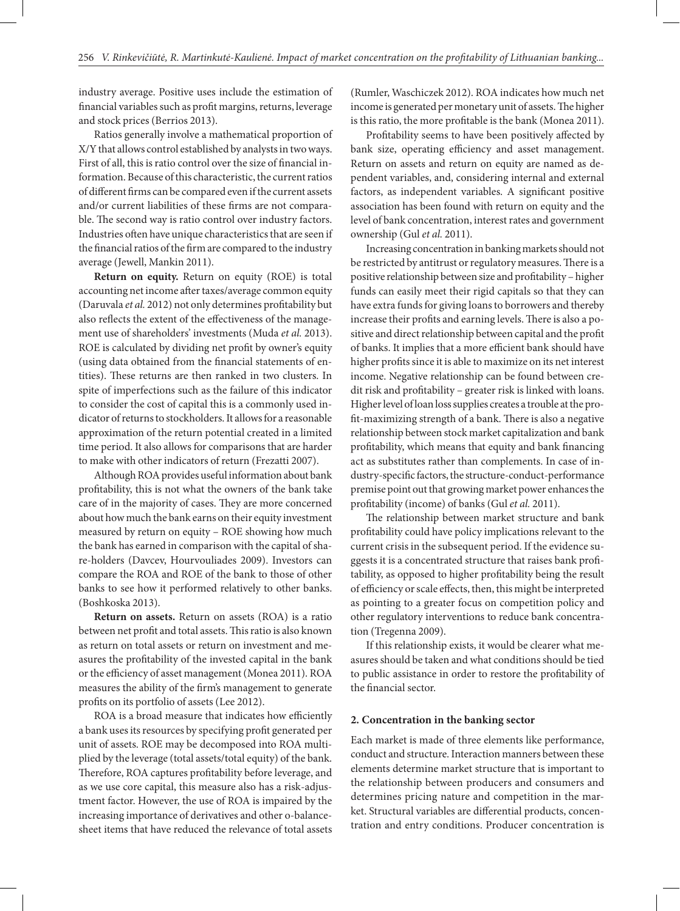industry average. Positive uses include the estimation of financial variables such as profit margins, returns, leverage and stock prices (Berrios 2013).

Ratios generally involve a mathematical proportion of X/Y that allows control established by analysts in two ways. First of all, this is ratio control over the size of financial information. Because of this characteristic, the current ratios of different firms can be compared even if the current assets and/or current liabilities of these firms are not comparable. The second way is ratio control over industry factors. Industries often have unique characteristics that are seen if the financial ratios of the firm are compared to the industry average (Jewell, Mankin 2011).

**Return on equity.** Return on equity (ROE) is total accounting net income after taxes/average common equity (Daruvala *et al.* 2012) not only determines profitability but also reflects the extent of the effectiveness of the management use of shareholders' investments (Muda *et al.* 2013). ROE is calculated by dividing net profit by owner's equity (using data obtained from the financial statements of entities). These returns are then ranked in two clusters. In spite of imperfections such as the failure of this indicator to consider the cost of capital this is a commonly used indicator of returns to stockholders. It allows for a reasonable approximation of the return potential created in a limited time period. It also allows for comparisons that are harder to make with other indicators of return (Frezatti 2007).

Although ROA provides useful information about bank profitability, this is not what the owners of the bank take care of in the majority of cases. They are more concerned about how much the bank earns on their equity investment measured by return on equity – ROE showing how much the bank has earned in comparison with the capital of share-holders (Davcev, Hourvouliades 2009). Investors can compare the ROA and ROE of the bank to those of other banks to see how it performed relatively to other banks. (Boshkoska 2013).

**Return on assets.** Return on assets (ROA) is a ratio between net profit and total assets. This ratio is also known as return on total assets or return on investment and measures the profitability of the invested capital in the bank or the efficiency of asset management (Monea 2011). ROA measures the ability of the firm's management to generate profits on its portfolio of assets (Lee 2012).

ROA is a broad measure that indicates how efficiently a bank uses its resources by specifying profit generated per unit of assets. ROE may be decomposed into ROA multiplied by the leverage (total assets/total equity) of the bank. Therefore, ROA captures profitability before leverage, and as we use core capital, this measure also has a risk-adjustment factor. However, the use of ROA is impaired by the increasing importance of derivatives and other o-balancesheet items that have reduced the relevance of total assets

(Rumler, Waschiczek 2012). ROA indicates how much net income is generated per monetary unit of assets. The higher is this ratio, the more profitable is the bank (Monea 2011).

Profitability seems to have been positively affected by bank size, operating efficiency and asset management. Return on assets and return on equity are named as dependent variables, and, considering internal and external factors, as independent variables. A significant positive association has been found with return on equity and the level of bank concentration, interest rates and government ownership (Gul *et al.* 2011).

Increasing concentration in banking markets should not be restricted by antitrust or regulatory measures. There is a positive relationship between size and profitability – higher funds can easily meet their rigid capitals so that they can have extra funds for giving loans to borrowers and thereby increase their profits and earning levels. There is also a positive and direct relationship between capital and the profit of banks. It implies that a more efficient bank should have higher profits since it is able to maximize on its net interest income. Negative relationship can be found between credit risk and profitability – greater risk is linked with loans. Higher level of loan loss supplies creates a trouble at the profit-maximizing strength of a bank. There is also a negative relationship between stock market capitalization and bank profitability, which means that equity and bank financing act as substitutes rather than complements. In case of industry-specific factors, the structure-conduct-performance premise point out that growing market power enhances the profitability (income) of banks (Gul *et al.* 2011).

The relationship between market structure and bank profitability could have policy implications relevant to the current crisis in the subsequent period. If the evidence suggests it is a concentrated structure that raises bank profitability, as opposed to higher profitability being the result of efficiency or scale effects, then, this might be interpreted as pointing to a greater focus on competition policy and other regulatory interventions to reduce bank concentration (Tregenna 2009).

If this relationship exists, it would be clearer what measures should be taken and what conditions should be tied to public assistance in order to restore the profitability of the financial sector.

#### **2. Concentration in the banking sector**

Each market is made of three elements like performance, conduct and structure. Interaction manners between these elements determine market structure that is important to the relationship between producers and consumers and determines pricing nature and competition in the market. Structural variables are differential products, concentration and entry conditions. Producer concentration is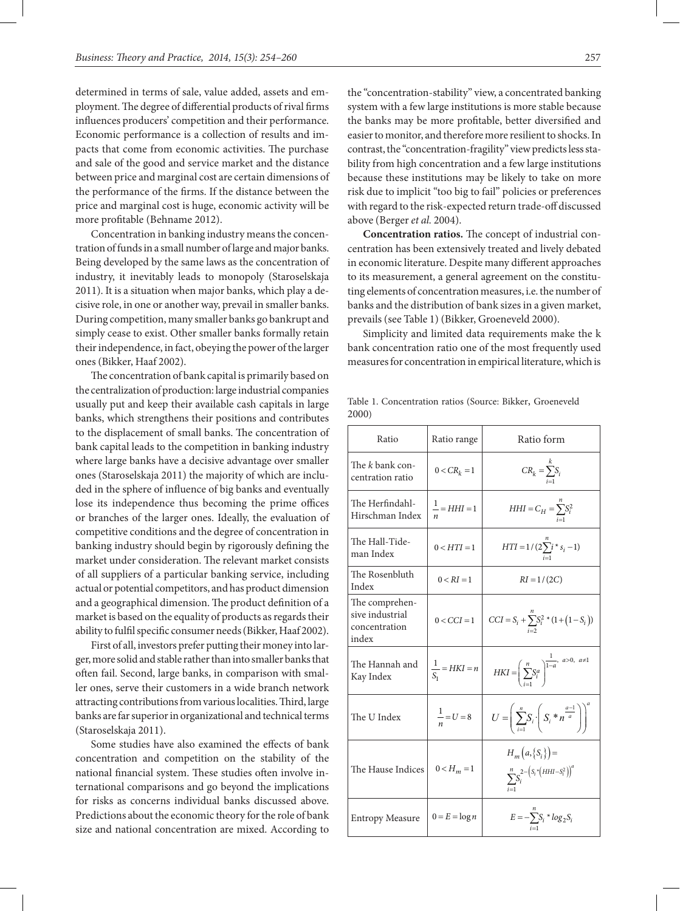determined in terms of sale, value added, assets and employment. The degree of differential products of rival firms influences producers' competition and their performance. Economic performance is a collection of results and impacts that come from economic activities. The purchase and sale of the good and service market and the distance between price and marginal cost are certain dimensions of the performance of the firms. If the distance between the price and marginal cost is huge, economic activity will be more profitable (Behname 2012).

Concentration in banking industry means the concentration of funds in a small number of large and major banks. Being developed by the same laws as the concentration of industry, it inevitably leads to monopoly (Staroselskaja 2011). It is a situation when major banks, which play a decisive role, in one or another way, prevail in smaller banks. During competition, many smaller banks go bankrupt and simply cease to exist. Other smaller banks formally retain their independence, in fact, obeying the power of the larger ones (Bikker, Haaf 2002).

The concentration of bank capital is primarily based on the centralization of production: large industrial companies usually put and keep their available cash capitals in large banks, which strengthens their positions and contributes to the displacement of small banks. The concentration of bank capital leads to the competition in banking industry where large banks have a decisive advantage over smaller ones (Staroselskaja 2011) the majority of which are included in the sphere of influence of big banks and eventually lose its independence thus becoming the prime offices or branches of the larger ones. Ideally, the evaluation of competitive conditions and the degree of concentration in banking industry should begin by rigorously defining the market under consideration. The relevant market consists of all suppliers of a particular banking service, including actual or potential competitors, and has product dimension and a geographical dimension. The product definition of a market is based on the equality of products as regards their ability to fulfil specific consumer needs (Bikker, Haaf 2002).

First of all, investors prefer putting their money into larger, more solid and stable rather than into smaller banks that often fail. Second, large banks, in comparison with smaller ones, serve their customers in a wide branch network attracting contributions from various localities. Third, large banks are far superior in organizational and technical terms (Staroselskaja 2011).

Some studies have also examined the effects of bank concentration and competition on the stability of the national financial system. These studies often involve international comparisons and go beyond the implications for risks as concerns individual banks discussed above. Predictions about the economic theory for the role of bank size and national concentration are mixed. According to

the "concentration-stability" view, a concentrated banking system with a few large institutions is more stable because the banks may be more profitable, better diversified and easier to monitor, and therefore more resilient to shocks. In contrast, the "concentration-fragility" view predicts less stability from high concentration and a few large institutions because these institutions may be likely to take on more risk due to implicit "too big to fail" policies or preferences with regard to the risk-expected return trade-off discussed above (Berger *et al.* 2004).

**Concentration ratios.** The concept of industrial concentration has been extensively treated and lively debated in economic literature. Despite many different approaches to its measurement, a general agreement on the constituting elements of concentration measures, i.e. the number of banks and the distribution of bank sizes in a given market, prevails (see Table 1) (Bikker, Groeneveld 2000).

Simplicity and limited data requirements make the k bank concentration ratio one of the most frequently used measures for concentration in empirical literature, which is

|       | Table 1. Concentration ratios (Source: Bikker, Groeneveld |  |  |
|-------|-----------------------------------------------------------|--|--|
| 2000) |                                                           |  |  |

| Ratio                                                       | Ratio range               | Ratio form                                                                             |
|-------------------------------------------------------------|---------------------------|----------------------------------------------------------------------------------------|
| The <i>k</i> bank con-<br>centration ratio                  | $0 < CR_k = 1$            | $CR_k = \sum_{i=1}^{k} S_i$                                                            |
| The Herfindahl-<br>Hirschman Index                          | $\frac{1}{-} = HHI = 1$   | $HHI = C_H = \sum_i S_i^2$                                                             |
| The Hall-Tide-<br>man Index                                 | $0 < HTI = 1$             | $HTI = 1/(2\sum_{i}^{n} i * s_i - 1)$                                                  |
| The Rosenbluth<br>Index                                     | $0 < RI = 1$              | $RI = 1/(2C)$                                                                          |
| The comprehen-<br>sive industrial<br>concentration<br>index | $0 < CCI = 1$             | $CCI = S_i + \sum_{i=2}^{n} S_i^2 * (1 + (1 - S_i))$                                   |
| The Hannah and<br>Kay Index                                 | $\frac{1}{S_1} = HKI = n$ | $HKI = \left(\sum_{i=1}^{n} S_i^a\right)^{\frac{1}{1-a}}, \sum_{i=1}^{a>0, a\neq 1}$   |
| The U Index                                                 | $\frac{1}{n} = U = 8$     | $U=\left(\sum_{i=1}^n S_i\cdot\left(S_i*\frac{a-1}{a}\right)\right)^n$                 |
| The Hause Indices                                           | $0 < H_m = 1$             | $H_m(a, \{S_i\}) =$<br>$\sum_{i=1}^{n} S_i^{2-\left(S_i \cdot (HHI - S_i^2)\right)^a}$ |
| <b>Entropy Measure</b>                                      | $0 = E = \log n$          | $E = -\sum_{i=1}^{n} S_i * log_2 S_i$                                                  |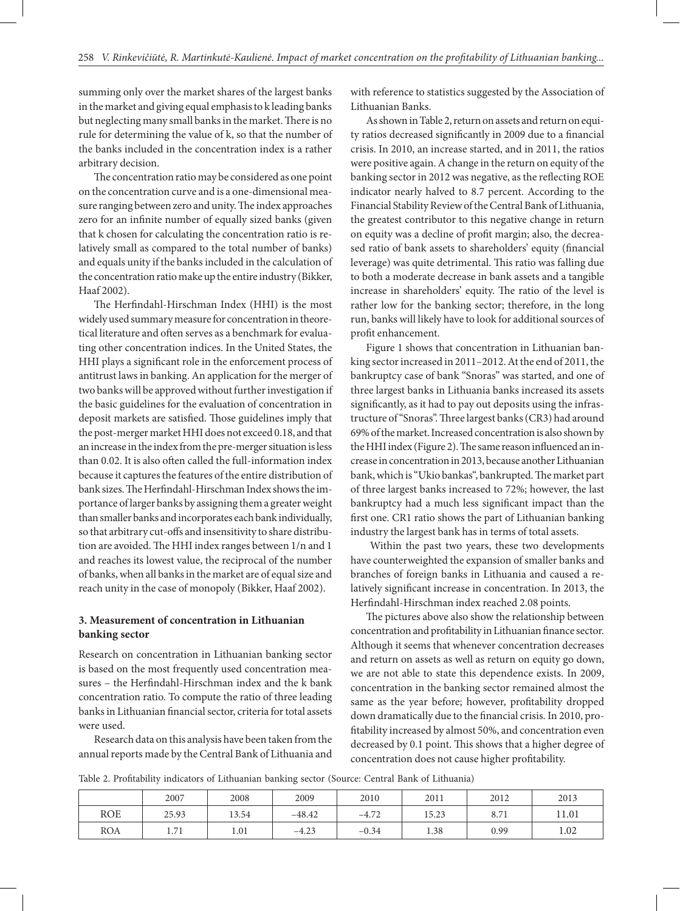summing only over the market shares of the largest banks in the market and giving equal emphasis to k leading banks but neglecting many small banks in the market. There is no rule for determining the value of k, so that the number of the banks included in the concentration index is a rather arbitrary decision.

The concentration ratio may be considered as one point on the concentration curve and is a one-dimensional measure ranging between zero and unity. The index approaches zero for an infinite number of equally sized banks (given that k chosen for calculating the concentration ratio is relatively small as compared to the total number of banks) and equals unity if the banks included in the calculation of the concentration ratio make up the entire industry (Bikker, Haaf 2002).

The Herfindahl-Hirschman Index (HHI) is the most widely used summary measure for concentration in theoretical literature and often serves as a benchmark for evaluating other concentration indices. In the United States, the HHI plays a significant role in the enforcement process of antitrust laws in banking. An application for the merger of two banks will be approved without further investigation if the basic guidelines for the evaluation of concentration in deposit markets are satisfied. Those guidelines imply that the post-merger market HHI does not exceed 0.18, and that an increase in the index from the pre-merger situation is less than 0.02. It is also often called the full-information index because it captures the features of the entire distribution of bank sizes. The Herfindahl-Hirschman Index shows the importance of larger banks by assigning them a greater weight than smaller banks and incorporates each bank individually, so that arbitrary cut-offs and insensitivity to share distribution are avoided. The HHI index ranges between 1/n and 1 and reaches its lowest value, the reciprocal of the number of banks, when all banks in the market are of equal size and reach unity in the case of monopoly (Bikker, Haaf 2002).

### **3. Measurement of concentration in Lithuanian banking sector**

Research on concentration in Lithuanian banking sector is based on the most frequently used concentration measures – the Herfindahl-Hirschman index and the k bank concentration ratio. To compute the ratio of three leading banks in Lithuanian financial sector, criteria for total assets were used.

Research data on this analysis have been taken from the annual reports made by the Central Bank of Lithuania and

with reference to statistics suggested by the Association of Lithuanian Banks.

As shown in Table 2, return on assets and return on equity ratios decreased significantly in 2009 due to a financial crisis. In 2010, an increase started, and in 2011, the ratios were positive again. A change in the return on equity of the banking sector in 2012 was negative, as the reflecting ROE indicator nearly halved to 8.7 percent. According to the Financial Stability Review of the Central Bank of Lithuania, the greatest contributor to this negative change in return on equity was a decline of profit margin; also, the decreased ratio of bank assets to shareholders' equity (financial leverage) was quite detrimental. This ratio was falling due to both a moderate decrease in bank assets and a tangible increase in shareholders' equity. The ratio of the level is rather low for the banking sector; therefore, in the long run, banks will likely have to look for additional sources of profit enhancement.

Figure 1 shows that concentration in Lithuanian banking sector increased in 2011–2012. At the end of 2011, the bankruptcy case of bank "Snoras" was started, and one of three largest banks in Lithuania banks increased its assets significantly, as it had to pay out deposits using the infrastructure of "Snoras". Three largest banks (CR3) had around 69% of the market. Increased concentration is also shown by the HHI index (Figure 2). The same reason influenced an increase in concentration in 2013, because another Lithuanian bank, which is "Ukio bankas", bankrupted. The market part of three largest banks increased to 72%; however, the last bankruptcy had a much less significant impact than the first one. CR1 ratio shows the part of Lithuanian banking industry the largest bank has in terms of total assets.

 Within the past two years, these two developments have counterweighted the expansion of smaller banks and branches of foreign banks in Lithuania and caused a relatively significant increase in concentration. In 2013, the Herfindahl-Hirschman index reached 2.08 points.

The pictures above also show the relationship between concentration and profitability in Lithuanian finance sector. Although it seems that whenever concentration decreases and return on assets as well as return on equity go down, we are not able to state this dependence exists. In 2009, concentration in the banking sector remained almost the same as the year before; however, profitability dropped down dramatically due to the financial crisis. In 2010, profitability increased by almost 50%, and concentration even decreased by 0.1 point. This shows that a higher degree of concentration does not cause higher profitability.

Table 2. Profitability indicators of Lithuanian banking sector (Source: Central Bank of Lithuania)

|            | 2007        | 2008  | 2009     | 2010    | 2011  | 2012 | 2013  |
|------------|-------------|-------|----------|---------|-------|------|-------|
| <b>ROE</b> | 25.93       | 13.54 | $-48.42$ | $-4.72$ | 15.23 | 8.71 | 11.01 |
| <b>ROA</b> | 71<br>1./ T | 1.01  | $-4.23$  | $-0.34$ | 1.38  | 0.99 | 1.02  |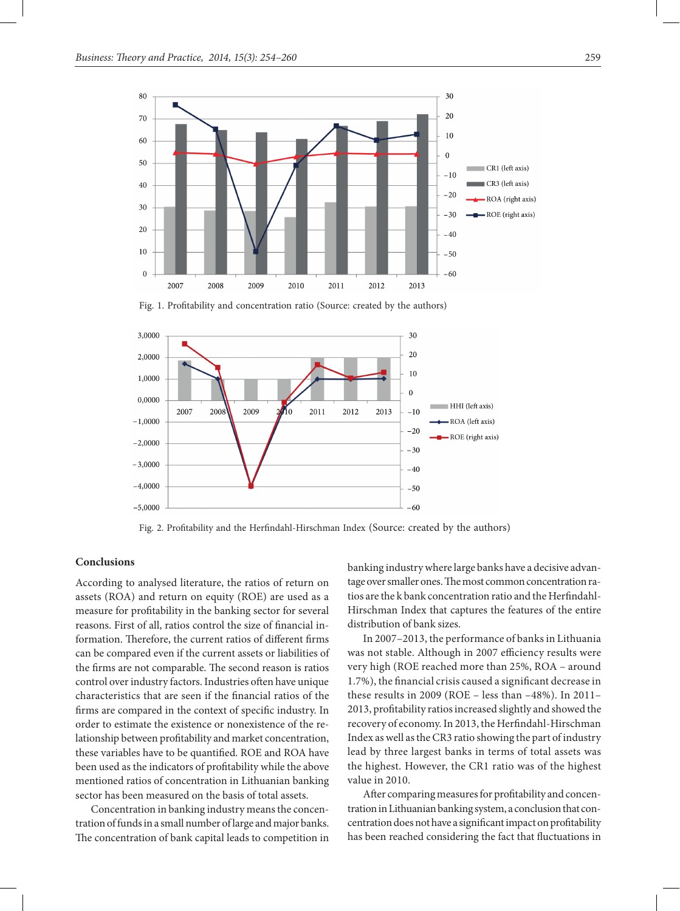

Fig. 1. Profitability and concentration ratio (Source: created by the authors)



Fig. 2. Profitability and the Herfindahl-Hirschman Index (Source: created by the authors)

#### **Conclusions**

According to analysed literature, the ratios of return on assets (ROA) and return on equity (ROE) are used as a measure for profitability in the banking sector for several reasons. First of all, ratios control the size of financial information. Therefore, the current ratios of different firms can be compared even if the current assets or liabilities of the firms are not comparable. The second reason is ratios control over industry factors. Industries often have unique characteristics that are seen if the financial ratios of the firms are compared in the context of specific industry. In order to estimate the existence or nonexistence of the relationship between profitability and market concentration, these variables have to be quantified. ROE and ROA have been used as the indicators of profitability while the above mentioned ratios of concentration in Lithuanian banking sector has been measured on the basis of total assets.

Concentration in banking industry means the concentration of funds in a small number of large and major banks. The concentration of bank capital leads to competition in banking industry where large banks have a decisive advantage over smaller ones. The most common concentration ratios are the k bank concentration ratio and the Herfindahl-Hirschman Index that captures the features of the entire distribution of bank sizes.

In 2007–2013, the performance of banks in Lithuania was not stable. Although in 2007 efficiency results were very high (ROE reached more than 25%, ROA – around 1.7%), the financial crisis caused a significant decrease in these results in 2009 (ROE – less than –48%). In 2011– 2013, profitability ratios increased slightly and showed the recovery of economy. In 2013, the Herfindahl-Hirschman Index as well as the CR3 ratio showing the part of industry lead by three largest banks in terms of total assets was the highest. However, the CR1 ratio was of the highest value in 2010.

After comparing measures for profitability and concentration in Lithuanian banking system, a conclusion that concentration does not have a significant impact on profitability has been reached considering the fact that fluctuations in